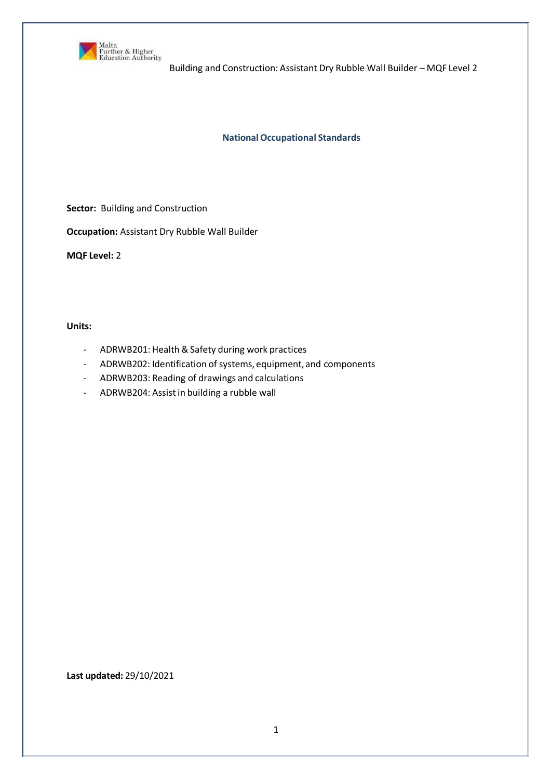

**National Occupational Standards**

**Sector:** Building and Construction

**Occupation:** Assistant Dry Rubble Wall Builder

**MQF Level:** 2

**Units:**

- ADRWB201: Health & Safety during work practices
- ADRWB202: Identification of systems, equipment, and components
- ADRWB203: Reading of drawings and calculations
- ADRWB204: Assistin building a rubble wall

**Last updated:** 29/10/2021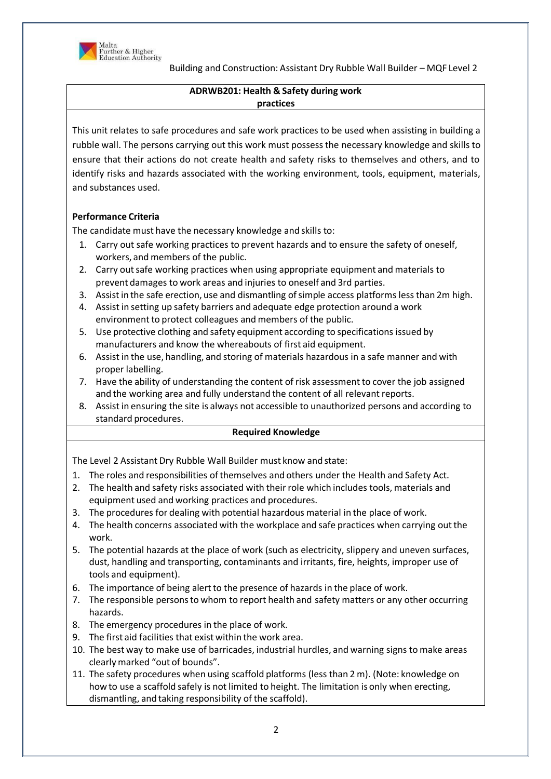

# **ADRWB201: Health & Safety during work practices**

This unit relates to safe procedures and safe work practices to be used when assisting in building a rubble wall. The persons carrying out this work must possess the necessary knowledge and skills to ensure that their actions do not create health and safety risks to themselves and others, and to identify risks and hazards associated with the working environment, tools, equipment, materials, and substances used.

# **Performance Criteria**

The candidate must have the necessary knowledge and skills to:

- 1. Carry out safe working practices to prevent hazards and to ensure the safety of oneself, workers, and members of the public.
- 2. Carry out safe working practices when using appropriate equipment and materials to prevent damages to work areas and injuries to oneself and 3rd parties.
- 3. Assist in the safe erection, use and dismantling of simple access platforms less than 2m high.
- 4. Assistin setting up safety barriers and adequate edge protection around a work environment to protect colleagues and members of the public.
- 5. Use protective clothing and safety equipment according to specifications issued by manufacturers and know the whereabouts of first aid equipment.
- 6. Assistin the use, handling, and storing of materials hazardous in a safe manner and with proper labelling.
- 7. Have the ability of understanding the content of risk assessmentto cover the job assigned and the working area and fully understand the content of all relevant reports.
- 8. Assistin ensuring the site is always not accessible to unauthorized persons and according to standard procedures.

# **Required Knowledge**

The Level 2 Assistant Dry Rubble Wall Builder must know and state:

- 1. The roles and responsibilities of themselves and others under the Health and Safety Act.
- 2. The health and safety risks associated with their role which includes tools, materials and equipment used and working practices and procedures.
- 3. The procedures for dealing with potential hazardous material in the place of work.
- 4. The health concerns associated with the workplace and safe practices when carrying out the work.
- 5. The potential hazards at the place of work (such as electricity, slippery and uneven surfaces, dust, handling and transporting, contaminants and irritants, fire, heights, improper use of tools and equipment).
- 6. The importance of being alert to the presence of hazards in the place of work.
- 7. The responsible personsto whom to report health and safety matters or any other occurring hazards.
- 8. The emergency procedures in the place of work.
- 9. The first aid facilities that exist within the work area.
- 10. The best way to make use of barricades, industrial hurdles, and warning signs to make areas clearlymarked "out of bounds".
- 11. The safety procedures when using scaffold platforms (less than 2 m). (Note: knowledge on how to use a scaffold safely is not limited to height. The limitation is only when erecting, dismantling, and taking responsibility of the scaffold).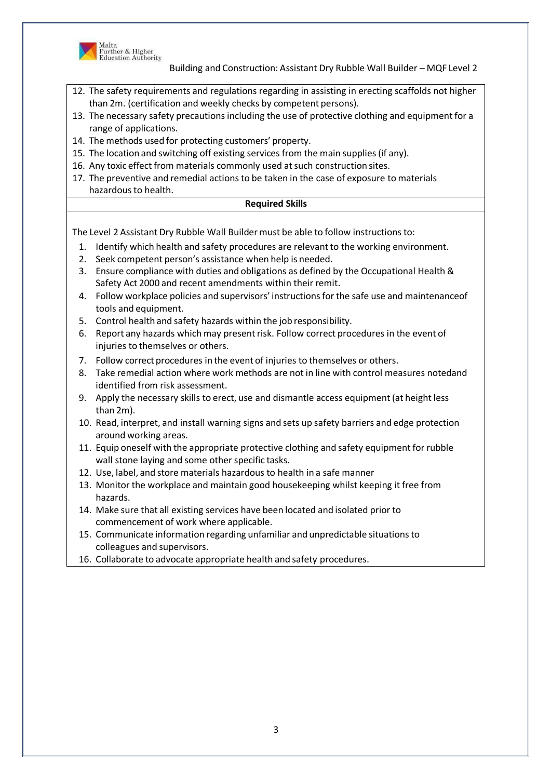

- 12. The safety requirements and regulations regarding in assisting in erecting scaffolds not higher than 2m. (certification and weekly checks by competent persons).
- 13. The necessary safety precautions including the use of protective clothing and equipment for a range of applications.
- 14. The methods used for protecting customers' property.
- 15. The location and switching off existing services from the main supplies (if any).
- 16. Any toxic effect from materials commonly used at such construction sites.
- 17. The preventive and remedial actions to be taken in the case of exposure to materials hazardous to health.

### **Required Skills**

The Level 2 Assistant Dry Rubble Wall Buildermust be able to follow instructions to:

- 1. Identify which health and safety procedures are relevant to the working environment.
- 2. Seek competent person's assistance when help is needed.
- 3. Ensure compliance with duties and obligations as defined by the Occupational Health & Safety Act 2000 and recent amendments within their remit.
- 4. Follow workplace policies and supervisors' instructionsfor the safe use and maintenanceof tools and equipment.
- 5. Control health and safety hazards within the job responsibility.
- 6. Report any hazards which may presentrisk. Follow correct procedures in the event of injuries to themselves or others.
- 7. Follow correct procedures in the event of injuries to themselves or others.
- 8. Take remedial action where work methods are not in line with control measures notedand identified from risk assessment.
- 9. Apply the necessary skills to erect, use and dismantle access equipment (at height less than 2m).
- 10. Read, interpret, and install warning signs and sets up safety barriers and edge protection around working areas.
- 11. Equip oneself with the appropriate protective clothing and safety equipment for rubble wall stone laying and some other specific tasks.
- 12. Use, label, and store materials hazardous to health in a safe manner
- 13. Monitor the workplace and maintain good housekeeping whilst keeping it free from hazards.
- 14. Make sure that all existing services have been located and isolated prior to commencement of work where applicable.
- 15. Communicate information regarding unfamiliar and unpredictable situationsto colleagues and supervisors.
- 16. Collaborate to advocate appropriate health and safety procedures.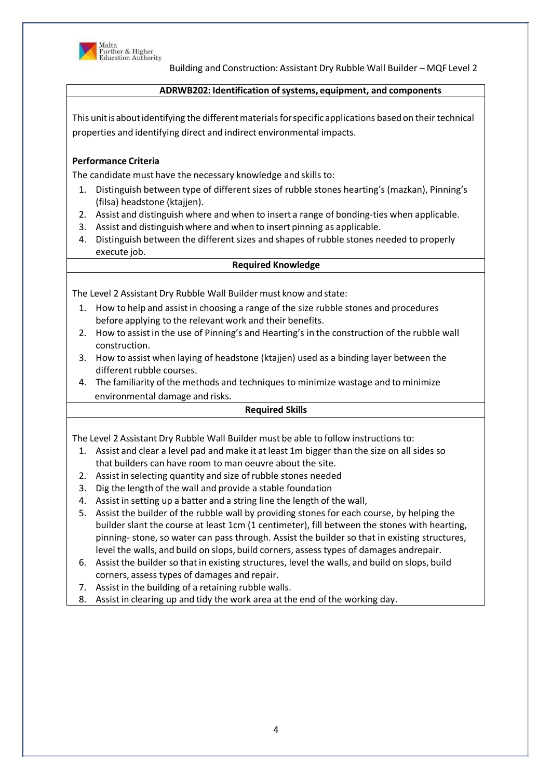

#### **ADRWB202: Identification ofsystems, equipment, and components**

This unit is about identifying the different materials for specific applications based on their technical properties and identifying direct and indirect environmental impacts.

# **Performance Criteria**

The candidate must have the necessary knowledge and skills to:

- 1. Distinguish between type of different sizes of rubble stones hearting's (mazkan), Pinning's (filsa) headstone (ktajjen).
- 2. Assist and distinguish where and when to insert a range of bonding-ties when applicable.
- 3. Assist and distinguish where and when to insert pinning as applicable.
- 4. Distinguish between the different sizes and shapes of rubble stones needed to properly execute job.

#### **Required Knowledge**

The Level 2 Assistant Dry Rubble Wall Builder must know and state:

- 1. How to help and assistin choosing a range of the size rubble stones and procedures before applying to the relevant work and their benefits.
- 2. How to assist in the use of Pinning's and Hearting's in the construction of the rubble wall construction.
- 3. How to assist when laying of headstone (ktajjen) used as a binding layer between the different rubble courses.
- 4. The familiarity ofthe methods and techniques to minimize wastage and to minimize environmental damage and risks.

#### **Required Skills**

The Level 2 Assistant Dry Rubble Wall Builder must be able to follow instructions to:

- 1. Assist and clear a level pad and make it atleast 1m bigger than the size on all sides so that builders can have room to man oeuvre about the site.
- 2. Assistin selecting quantity and size ofrubble stones needed
- 3. Dig the length of the wall and provide a stable foundation
- 4. Assistin setting up a batter and a string line the length of the wall,
- 5. Assist the builder of the rubble wall by providing stones for each course, by helping the builder slant the course at least 1cm (1 centimeter), fill between the stones with hearting, pinning- stone, so water can pass through. Assist the builder so that in existing structures, level the walls, and build on slops, build corners, assess types of damages andrepair.
- 6. Assistthe builder so thatin existing structures, level the walls, and build on slops, build corners, assess types of damages and repair.
- 7. Assistin the building of a retaining rubble walls.
- 8. Assistin clearing up and tidy the work area atthe end of the working day.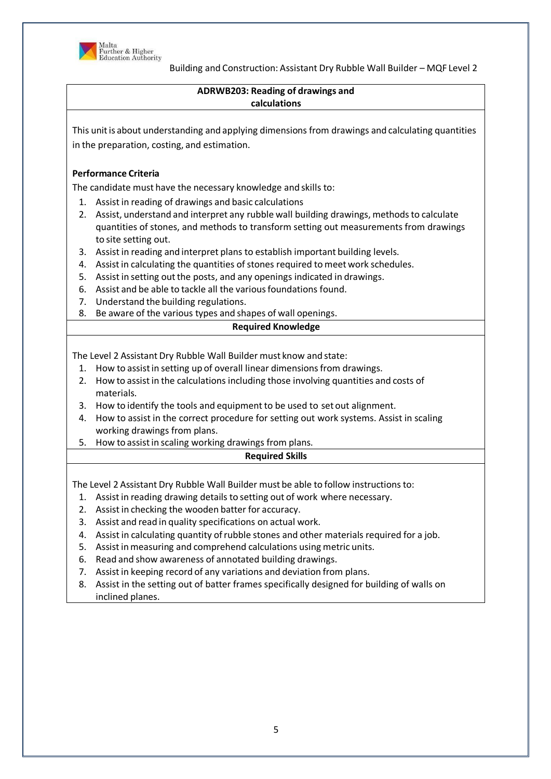

# **ADRWB203: Reading of drawings and calculations**

This unit is about understanding and applying dimensions from drawings and calculating quantities in the preparation, costing, and estimation.

# **Performance Criteria**

The candidate must have the necessary knowledge and skills to:

- 1. Assistin reading of drawings and basic calculations
- 2. Assist, understand and interpret any rubble wall building drawings, methods to calculate quantities of stones, and methods to transform setting out measurements from drawings to site setting out.
- 3. Assistin reading and interpret plans to establish important building levels.
- 4. Assistin calculating the quantities of stones required to meet work schedules.
- 5. Assist in setting out the posts, and any openings indicated in drawings.
- 6. Assist and be able to tackle all the variousfoundations found.
- 7. Understand the building regulations.
- 8. Be aware of the various types and shapes of wall openings.

### **Required Knowledge**

The Level 2 Assistant Dry Rubble Wall Builder must know and state:

- 1. How to assist in setting up of overall linear dimensions from drawings.
- 2. How to assist in the calculations including those involving quantities and costs of materials.
- 3. How to identify the tools and equipment to be used to set out alignment.
- 4. How to assist in the correct procedure for setting out work systems. Assist in scaling working drawings from plans.
- 5. How to assistin scaling working drawings from plans.

# **Required Skills**

The Level 2 Assistant Dry Rubble Wall Builder must be able to follow instructions to:

- 1. Assistin reading drawing details to setting out of work where necessary.
- 2. Assistin checking the wooden batter for accuracy.
- 3. Assist and read in quality specifications on actual work.
- 4. Assistin calculating quantity ofrubble stones and other materials required for a job.
- 5. Assist in measuring and comprehend calculations using metric units.
- 6. Read and show awareness of annotated building drawings.
- 7. Assistin keeping record of any variations and deviation from plans.
- 8. Assist in the setting out of batter frames specifically designed for building of walls on inclined planes.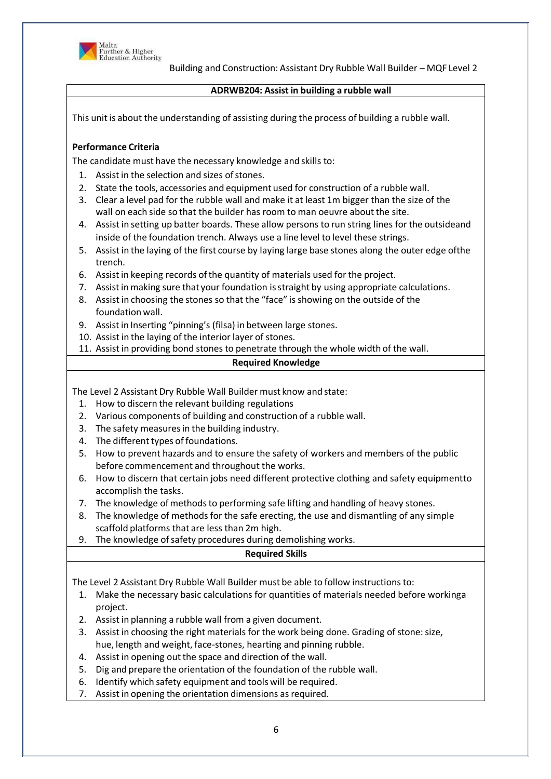

### **ADRWB204: Assist in building a rubble wall**

This unit is about the understanding of assisting during the process of building a rubble wall.

# **Performance Criteria**

The candidate must have the necessary knowledge and skills to:

- 1. Assist in the selection and sizes of stones.
- 2. State the tools, accessories and equipment used for construction of a rubble wall.
- 3. Clear a level pad for the rubble wall and make it at least 1m bigger than the size of the wall on each side so that the builder has room to man oeuvre about the site.
- 4. Assistin setting up batter boards. These allow persons to run string lines for the outsideand inside of the foundation trench. Always use a line level to level these strings.
- 5. Assistin the laying of the first course by laying large base stones along the outer edge ofthe trench.
- 6. Assistin keeping records ofthe quantity of materials used for the project.
- 7. Assistinmaking sure that your foundation isstraight by using appropriate calculations.
- 8. Assistin choosing the stones so that the "face" is showing on the outside of the foundation wall.
- 9. Assistin Inserting "pinning's (filsa) in between large stones.
- 10. Assistin the laying of the interior layer of stones.
- 11. Assistin providing bond stones to penetrate through the whole width of the wall.

# **Required Knowledge**

The Level 2 Assistant Dry Rubble Wall Builder must know and state:

- 1. How to discern the relevant building regulations
- 2. Various components of building and construction of a rubble wall.
- 3. The safety measuresin the building industry.
- 4. The different types of foundations.
- 5. How to prevent hazards and to ensure the safety of workers and members of the public before commencement and throughout the works.
- 6. How to discern that certain jobs need different protective clothing and safety equipmentto accomplish the tasks.
- 7. The knowledge of methods to performing safe lifting and handling of heavy stones.
- 8. The knowledge of methods for the safe erecting, the use and dismantling of any simple scaffold platforms that are less than 2m high.
- 9. The knowledge of safety procedures during demolishing works.

# **Required Skills**

The Level 2 Assistant Dry Rubble Wall Builder must be able to follow instructions to:

- 1. Make the necessary basic calculations for quantities of materials needed before workinga project.
- 2. Assistin planning a rubble wall from a given document.
- 3. Assist in choosing the right materials for the work being done. Grading of stone: size, hue, length and weight, face-stones, hearting and pinning rubble.
- 4. Assist in opening out the space and direction of the wall.
- 5. Dig and prepare the orientation of the foundation of the rubble wall.
- 6. Identify which safety equipment and tools will be required.
- 7. Assistin opening the orientation dimensions as required.